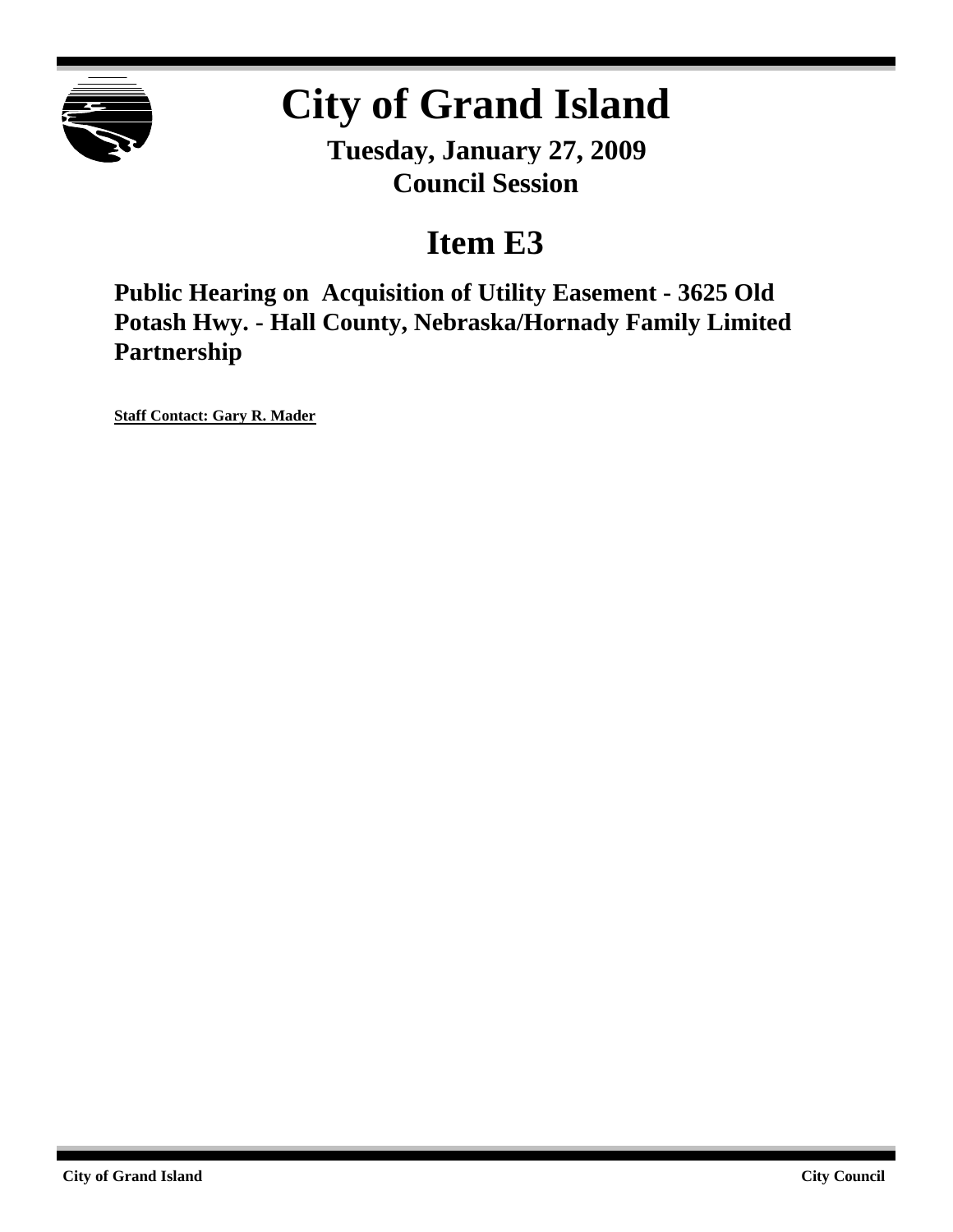

# **City of Grand Island**

**Tuesday, January 27, 2009 Council Session**

## **Item E3**

**Public Hearing on Acquisition of Utility Easement - 3625 Old Potash Hwy. - Hall County, Nebraska/Hornady Family Limited Partnership**

**Staff Contact: Gary R. Mader**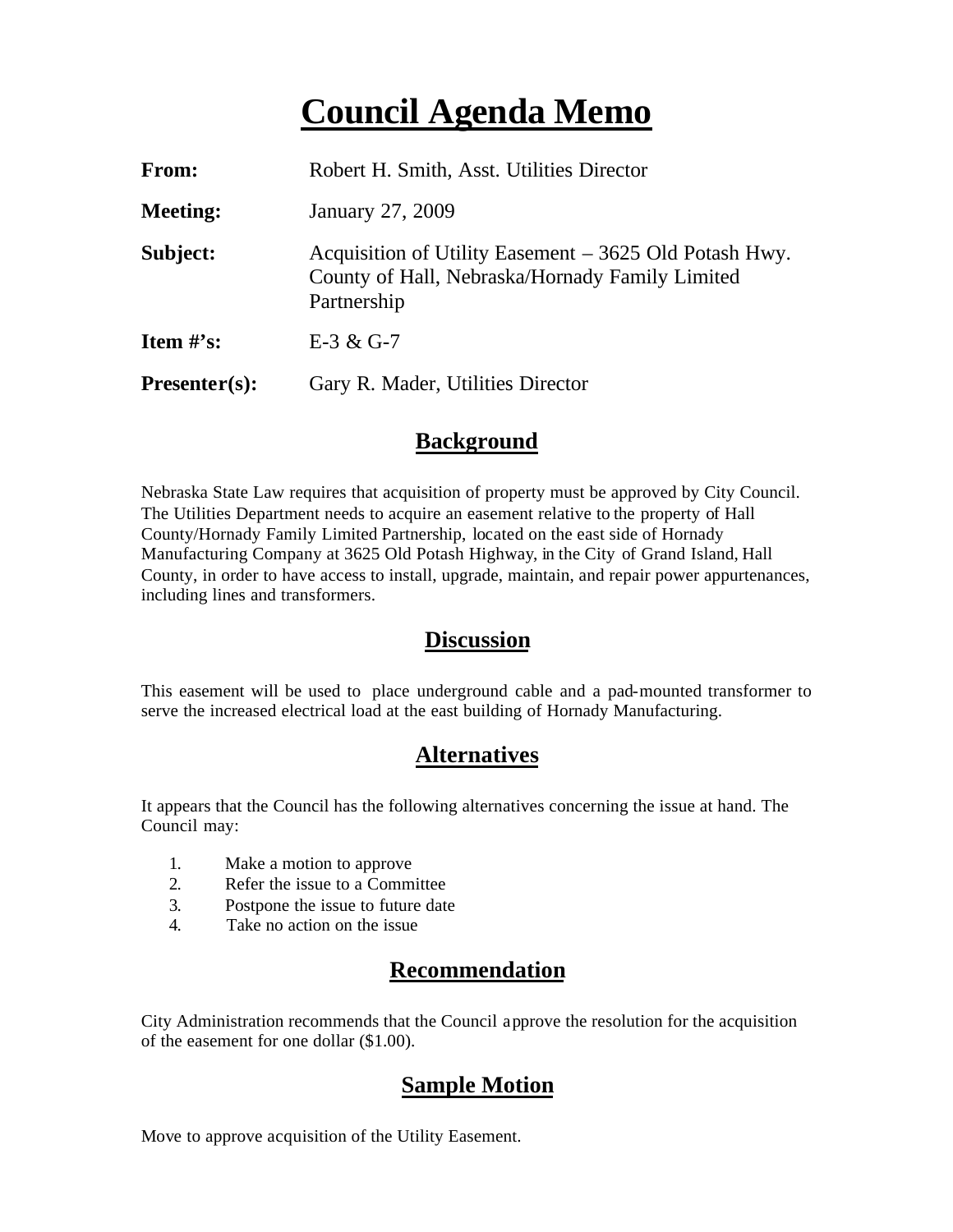## **Council Agenda Memo**

| From:           | Robert H. Smith, Asst. Utilities Director                                                                                |
|-----------------|--------------------------------------------------------------------------------------------------------------------------|
| <b>Meeting:</b> | January 27, 2009                                                                                                         |
| Subject:        | Acquisition of Utility Easement – 3625 Old Potash Hwy.<br>County of Hall, Nebraska/Hornady Family Limited<br>Partnership |
| Item $\#$ 's:   | $E-3 & G-7$                                                                                                              |
| $Presenter(s):$ | Gary R. Mader, Utilities Director                                                                                        |

#### **Background**

Nebraska State Law requires that acquisition of property must be approved by City Council. The Utilities Department needs to acquire an easement relative to the property of Hall County/Hornady Family Limited Partnership, located on the east side of Hornady Manufacturing Company at 3625 Old Potash Highway, in the City of Grand Island, Hall County, in order to have access to install, upgrade, maintain, and repair power appurtenances, including lines and transformers.

#### **Discussion**

This easement will be used to place underground cable and a pad-mounted transformer to serve the increased electrical load at the east building of Hornady Manufacturing.

#### **Alternatives**

It appears that the Council has the following alternatives concerning the issue at hand. The Council may:

- 1. Make a motion to approve
- 2. Refer the issue to a Committee
- 3. Postpone the issue to future date
- 4. Take no action on the issue

### **Recommendation**

City Administration recommends that the Council approve the resolution for the acquisition of the easement for one dollar (\$1.00).

#### **Sample Motion**

Move to approve acquisition of the Utility Easement.